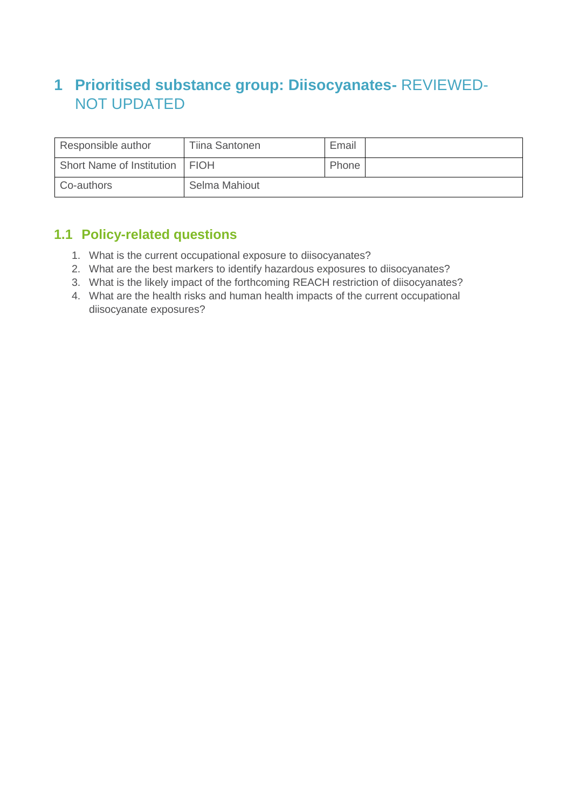## **1 Prioritised substance group: Diisocyanates-** REVIEWED-NOT UPDATED

| Responsible author               | Tiina Santonen | Email |  |
|----------------------------------|----------------|-------|--|
| Short Name of Institution   FIOH |                | Phone |  |
| Co-authors                       | Selma Mahiout  |       |  |

## **1.1 Policy-related questions**

- 1. What is the current occupational exposure to diisocyanates?
- 2. What are the best markers to identify hazardous exposures to diisocyanates?
- 3. What is the likely impact of the forthcoming REACH restriction of diisocyanates?
- 4. What are the health risks and human health impacts of the current occupational diisocyanate exposures?